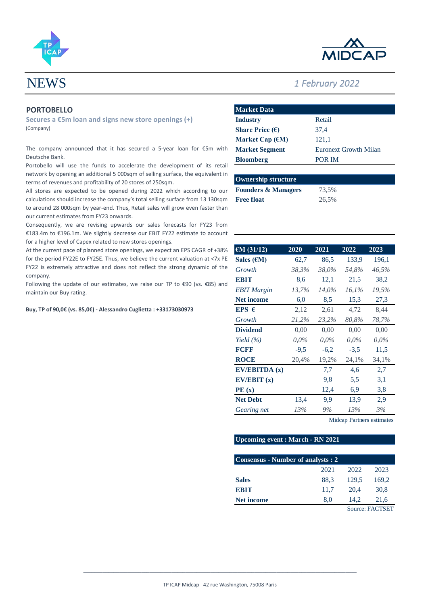



# NEWS *1 February 2022*

# **PORTOBELLO**

**Secures a €5m loan and signs new store openings (+)** (Company)

The company announced that it has secured a 5-year loan for €5m with Deutsche Bank.

Portobello will use the funds to accelerate the development of its retail network by opening an additional 5 000sqm of selling surface, the equivalent in terms of revenues and profitability of 20 stores of 250sqm.

All stores are expected to be opened during 2022 which according to our calculations should increase the company's total selling surface from 13 130sqm to around 28 000sqm by year-end. Thus, Retail sales will grow even faster than our current estimates from FY23 onwards.

Consequently, we are revising upwards our sales forecasts for FY23 from €183.4m to €196.1m. We slightly decrease our EBIT FY22 estimate to account for a higher level of Capex related to new stores openings.

At the current pace of planned store openings, we expect an EPS CAGR of +38% for the period FY22E to FY25E. Thus, we believe the current valuation at <7x PE FY22 is extremely attractive and does not reflect the strong dynamic of the company.

Following the update of our estimates, we raise our TP to €90 (vs. €85) and maintain our Buy rating.

**Buy, TP of 90,0€ (vs. 85,0€) - Alessandro Cuglietta : +33173030973**

| <b>Market Data</b>        |                       |
|---------------------------|-----------------------|
| <b>Industry</b>           | Retail                |
| Share Price $(\epsilon)$  | 37.4                  |
| Market Cap $(\epsilon M)$ | 121,1                 |
| <b>Market Segment</b>     | Euronext Growth Milan |
| <b>Bloomberg</b>          | POR IM                |

| <b>Ownership structure</b>     |       |  |  |  |  |
|--------------------------------|-------|--|--|--|--|
| <b>Founders &amp; Managers</b> | 73.5% |  |  |  |  |
| <b>Free float</b>              | 26.5% |  |  |  |  |

| €M $(31/12)$         | 2020    | 2021    | 2022     | 2023    |
|----------------------|---------|---------|----------|---------|
| Sales $(\epsilon M)$ | 62,7    | 86,5    | 133.9    | 196,1   |
| Growth               | 38,3%   | 38,0%   | 54,8%    | 46,5%   |
| <b>EBIT</b>          | 8.6     | 12,1    | 21,5     | 38,2    |
| <b>EBIT</b> Margin   | 13,7%   | 14,0%   | $16.1\%$ | 19,5%   |
| <b>Net income</b>    | 6,0     | 8,5     | 15,3     | 27,3    |
| EPS $\epsilon$       | 2,12    | 2,61    | 4,72     | 8,44    |
| Growth               | 21,2%   | 23,2%   | 80,8%    | 78,7%   |
| <b>Dividend</b>      | 0,00    | 0.00    | 0,00     | 0,00    |
| Yield $(\% )$        | $0.0\%$ | $0.0\%$ | $0.0\%$  | $0.0\%$ |
| <b>FCFF</b>          | $-9.5$  | $-6,2$  | $-3.5$   | 11,5    |
| <b>ROCE</b>          | 20,4%   | 19,2%   | 24,1%    | 34,1%   |
| EV/EBITDA(x)         |         | 7,7     | 4,6      | 2,7     |
| EV/EBIT(x)           |         | 9,8     | 5,5      | 3,1     |
| PE(x)                |         | 12,4    | 6,9      | 3,8     |
| <b>Net Debt</b>      | 13,4    | 9,9     | 13,9     | 2,9     |
| Gearing net          | 13%     | 9%      | 13%      | 3%      |

Midcap Partners estimates

## **Upcoming event : March - RN 2021**

| Consensus - Number of analysts : 2 |      |                 |       |  |  |
|------------------------------------|------|-----------------|-------|--|--|
|                                    | 2021 | 2022            | 2023  |  |  |
| <b>Sales</b>                       | 88.3 | 129.5           | 169,2 |  |  |
| <b>EBIT</b>                        | 11,7 | 20.4            | 30,8  |  |  |
| <b>Net income</b>                  | 8.0  | 14.2            | 21,6  |  |  |
|                                    |      | Source: FACTSET |       |  |  |

**\_\_\_\_\_\_\_\_\_\_\_\_\_\_\_\_\_\_\_\_\_\_\_\_\_\_\_\_\_\_\_\_\_\_\_\_\_\_\_\_\_\_\_\_\_\_\_\_\_\_\_\_\_\_\_\_\_\_\_\_\_\_\_\_\_\_\_\_\_\_\_\_\_\_\_\_\_\_\_\_\_\_\_\_\_\_\_\_\_\_\_\_\_\_\_\_\_\_\_**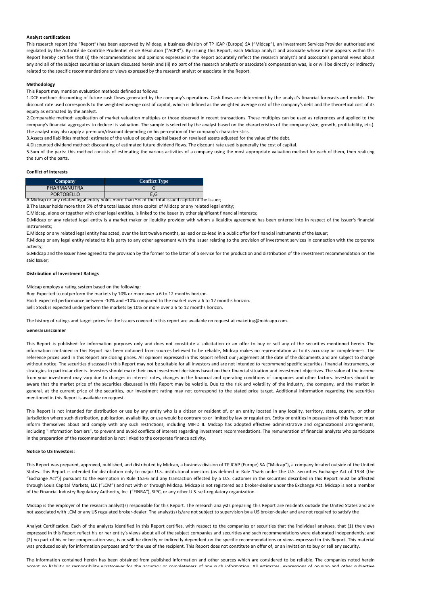#### **Analyst certifications**

This research report (the "Report") has been approved by Midcap, a business division of TP ICAP (Europe) SA ("Midcap"), an Investment Services Provider authorised and regulated by the Autorité de Contrôle Prudentiel et de Résolution ("ACPR"). By issuing this Report, each Midcap analyst and associate whose name appears within this Report hereby certifies that (i) the recommendations and opinions expressed in the Report accurately reflect the research analyst's and associate's personal views about any and all of the subject securities or issuers discussed herein and (ii) no part of the research analyst's or associate's compensation was, is or will be directly or indirectly related to the specific recommendations or views expressed by the research analyst or associate in the Report.

### **Methodology**

This Report may mention evaluation methods defined as follows:

1.DCF method: discounting of future cash flows generated by the company's operations. Cash flows are determined by the analyst's financial forecasts and models. The discount rate used corresponds to the weighted average cost of capital, which is defined as the weighted average cost of the company's debt and the theoretical cost of its equity as estimated by the analyst.

2.Comparable method: application of market valuation multiples or those observed in recent transactions. These multiples can be used as references and applied to the company's financial aggregates to deduce its valuation. The sample is selected by the analyst based on the characteristics of the company (size, growth, profitability, etc.). The analyst may also apply a premium/discount depending on his perception of the company's characteristics.

3.Assets and liabilities method: estimate of the value of equity capital based on revalued assets adjusted for the value of the debt.

4.Discounted dividend method: discounting of estimated future dividend flows. The discount rate used is generally the cost of capital.

5.Sum of the parts: this method consists of estimating the various activities of a company using the most appropriate valuation method for each of them, then realizing the sum of the parts.

#### **Conflict of Interests**

| <b>Company</b>    | <b>Conflict Type</b>                                                                               |  |
|-------------------|----------------------------------------------------------------------------------------------------|--|
| PHARMANUTRA       |                                                                                                    |  |
| <b>PORTOBELLO</b> | E.G                                                                                                |  |
|                   | A.Midcap or any related legal entity holds more than 5% of the total issued capital of the Issuer; |  |

B.The Issuer holds more than 5% of the total issued share capital of Midcap or any related legal entity;

C.Midcap, alone or together with other legal entities, is linked to the Issuer by other significant financial interests;

D.Midcap or any related legal entity is a market maker or liquidity provider with whom a liquidity agreement has been entered into in respect of the Issuer's financial instruments;

E.Midcap or any related legal entity has acted, over the last twelve months, as lead or co-lead in a public offer for financial instruments of the Issuer;

F.Midcap or any legal entity related to it is party to any other agreement with the Issuer relating to the provision of investment services in connection with the corporate activity;

G.Midcap and the Issuer have agreed to the provision by the former to the latter of a service for the production and distribution of the investment recommendation on the said Issuer;

#### **Distribution of Investment Ratings**

Midcap employs a rating system based on the following:

Buy: Expected to outperform the markets by 10% or more over a 6 to 12 months horizon.

Hold: expected performance between -10% and +10% compared to the market over a 6 to 12 months horizon.

Sell: Stock is expected underperform the markets by 10% or more over a 6 to 12 months horizon.

The history of ratings and target prices for the Issuers covered in this report are available on request at maketing@midcapp.com.

#### **General Disclaimer**

This Report is published for information purposes only and does not constitute a solicitation or an offer to buy or sell any of the securities mentioned herein. The information contained in this Report has been obtained from sources believed to be reliable, Midcap makes no representation as to its accuracy or completeness. The reference prices used in this Report are closing prices. All opinions expressed in this Report reflect our judgement at the date of the documents and are subject to change without notice. The securities discussed in this Report may not be suitable for all investors and are not intended to recommend specific securities, financial instruments, or strategies to particular clients. Investors should make their own investment decisions based on their financial situation and investment objectives. The value of the income from your investment may vary due to changes in interest rates, changes in the financial and operating conditions of companies and other factors. Investors should be aware that the market price of the securities discussed in this Report may be volatile. Due to the risk and volatility of the industry, the company, and the market in general, at the current price of the securities, our investment rating may not correspond to the stated price target. Additional information regarding the securities mentioned in this Report is available on request.

This Report is not intended for distribution or use by any entity who is a citizen or resident of, or an entity located in any locality, territory, state, country, or other jurisdiction where such distribution, publication, availability, or use would be contrary to or limited by law or regulation. Entity or entities in possession of this Report must inform themselves about and comply with any such restrictions, including MIFID II. Midcap has adopted effective administrative and organizational arrangements, including "information barriers", to prevent and avoid conflicts of interest regarding investment recommendations. The remuneration of financial analysts who participate in the preparation of the recommendation is not linked to the corporate finance activity.

#### **Notice to US Investors:**

This Report was prepared, approved, published, and distributed by Midcap, a business division of TP ICAP (Europe) SA ("Midcap"), a company located outside of the United States. This Report is intended for distribution only to major U.S. institutional investors (as defined in Rule 15a-6 under the U.S. Securities Exchange Act of 1934 (the "Exchange Act")) pursuant to the exemption in Rule 15a-6 and any transaction effected by a U.S. customer in the securities described in this Report must be affected through Louis Capital Markets, LLC ("LCM") and not with or through Midcap. Midcap is not registered as a broker-dealer under the Exchange Act. Midcap is not a member of the Financial Industry Regulatory Authority, Inc. ("FINRA"), SIPC, or any other U.S. self-regulatory organization.

Midcap is the employer of the research analyst(s) responsible for this Report. The research analysts preparing this Report are residents outside the United States and are not associated with LCM or any US regulated broker-dealer. The analyst(s) is/are not subject to supervision by a US broker-dealer and are not required to satisfy the

Analyst Certification. Each of the analysts identified in this Report certifies, with respect to the companies or securities that the individual analyses, that (1) the views expressed in this Report reflect his or her entity's views about all of the subject companies and securities and such recommendations were elaborated independently; and (2) no part of his or her compensation was, is or will be directly or indirectly dependent on the specific recommendations or views expressed in this Report. This material was produced solely for information purposes and for the use of the recipient. This Report does not constitute an offer of, or an invitation to buy or sell any security.

The information contained herein has been obtained from published information and other sources which are considered to be reliable. The companies noted herein accept no liability or responsibility whatsoever for the accuracy or completeness of any such information. All estimates, expressions of opinion and other subjective